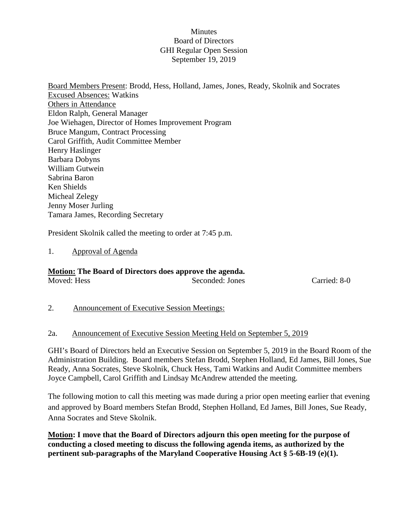### **Minutes** Board of Directors GHI Regular Open Session September 19, 2019

Board Members Present: Brodd, Hess, Holland, James, Jones, Ready, Skolnik and Socrates Excused Absences: Watkins Others in Attendance Eldon Ralph, General Manager Joe Wiehagen, Director of Homes Improvement Program Bruce Mangum, Contract Processing Carol Griffith, Audit Committee Member Henry Haslinger Barbara Dobyns William Gutwein Sabrina Baron Ken Shields Micheal Zelegy Jenny Moser Jurling Tamara James, Recording Secretary

President Skolnik called the meeting to order at 7:45 p.m.

### 1. Approval of Agenda

## **Motion: The Board of Directors does approve the agenda.**

Moved: Hess Seconded: Jones Carried: 8-0

### 2. Announcement of Executive Session Meetings:

### 2a. Announcement of Executive Session Meeting Held on September 5, 2019

GHI's Board of Directors held an Executive Session on September 5, 2019 in the Board Room of the Administration Building. Board members Stefan Brodd, Stephen Holland, Ed James, Bill Jones, Sue Ready, Anna Socrates, Steve Skolnik, Chuck Hess, Tami Watkins and Audit Committee members Joyce Campbell, Carol Griffith and Lindsay McAndrew attended the meeting.

The following motion to call this meeting was made during a prior open meeting earlier that evening and approved by Board members Stefan Brodd, Stephen Holland, Ed James, Bill Jones, Sue Ready, Anna Socrates and Steve Skolnik.

**Motion: I move that the Board of Directors adjourn this open meeting for the purpose of conducting a closed meeting to discuss the following agenda items, as authorized by the pertinent sub-paragraphs of the Maryland Cooperative Housing Act § 5-6B-19 (e)(1).**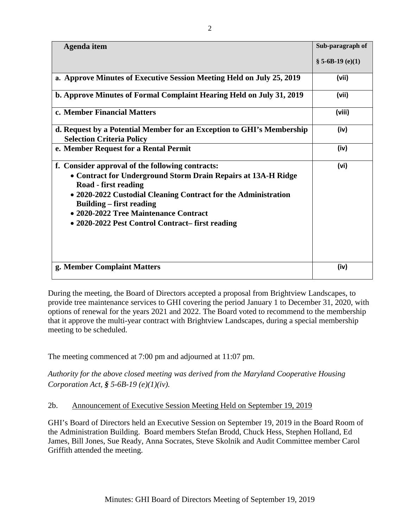| <b>Agenda</b> item                                                                                                                                                                                                                                                                                                                         | Sub-paragraph of  |
|--------------------------------------------------------------------------------------------------------------------------------------------------------------------------------------------------------------------------------------------------------------------------------------------------------------------------------------------|-------------------|
|                                                                                                                                                                                                                                                                                                                                            | $$5-6B-19(e)(1)$  |
| a. Approve Minutes of Executive Session Meeting Held on July 25, 2019                                                                                                                                                                                                                                                                      | (vii)             |
| b. Approve Minutes of Formal Complaint Hearing Held on July 31, 2019                                                                                                                                                                                                                                                                       | (vii)             |
| c. Member Financial Matters                                                                                                                                                                                                                                                                                                                | (viii)            |
| d. Request by a Potential Member for an Exception to GHI's Membership<br><b>Selection Criteria Policy</b>                                                                                                                                                                                                                                  | (iv)              |
| e. Member Request for a Rental Permit                                                                                                                                                                                                                                                                                                      | (iv)              |
| f. Consider approval of the following contracts:<br>• Contract for Underground Storm Drain Repairs at 13A-H Ridge<br>Road - first reading<br>• 2020-2022 Custodial Cleaning Contract for the Administration<br><b>Building – first reading</b><br>• 2020-2022 Tree Maintenance Contract<br>• 2020-2022 Pest Control Contract–first reading | (v <sub>i</sub> ) |
| g. Member Complaint Matters                                                                                                                                                                                                                                                                                                                | (iv)              |

During the meeting, the Board of Directors accepted a proposal from Brightview Landscapes, to provide tree maintenance services to GHI covering the period January 1 to December 31, 2020, with options of renewal for the years 2021 and 2022. The Board voted to recommend to the membership that it approve the multi-year contract with Brightview Landscapes, during a special membership meeting to be scheduled.

The meeting commenced at 7:00 pm and adjourned at 11:07 pm.

*Authority for the above closed meeting was derived from the Maryland Cooperative Housing Corporation Act, § 5-6B-19 (e)(1)(iv).* 

## 2b. Announcement of Executive Session Meeting Held on September 19, 2019

GHI's Board of Directors held an Executive Session on September 19, 2019 in the Board Room of the Administration Building. Board members Stefan Brodd, Chuck Hess, Stephen Holland, Ed James, Bill Jones, Sue Ready, Anna Socrates, Steve Skolnik and Audit Committee member Carol Griffith attended the meeting.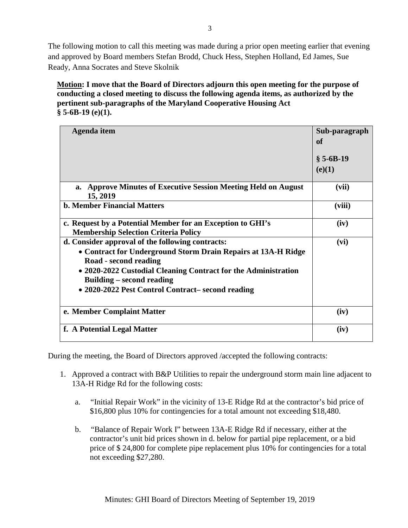The following motion to call this meeting was made during a prior open meeting earlier that evening and approved by Board members Stefan Brodd, Chuck Hess, Stephen Holland, Ed James, Sue Ready, Anna Socrates and Steve Skolnik

## **Motion: I move that the Board of Directors adjourn this open meeting for the purpose of conducting a closed meeting to discuss the following agenda items, as authorized by the pertinent sub-paragraphs of the Maryland Cooperative Housing Act § 5-6B-19 (e)(1).**

| Agenda item                                                                                                                                                                                                                                                                                           | Sub-paragraph<br>of<br>$§ 5-6B-19$<br>(e)(1) |
|-------------------------------------------------------------------------------------------------------------------------------------------------------------------------------------------------------------------------------------------------------------------------------------------------------|----------------------------------------------|
| <b>Approve Minutes of Executive Session Meeting Held on August</b><br>a.<br>15, 2019                                                                                                                                                                                                                  | (vii)                                        |
| <b>b. Member Financial Matters</b>                                                                                                                                                                                                                                                                    | (viii)                                       |
| c. Request by a Potential Member for an Exception to GHI's<br><b>Membership Selection Criteria Policy</b>                                                                                                                                                                                             | (iv)                                         |
| d. Consider approval of the following contracts:<br>• Contract for Underground Storm Drain Repairs at 13A-H Ridge<br>Road - second reading<br>• 2020-2022 Custodial Cleaning Contract for the Administration<br><b>Building – second reading</b><br>• 2020-2022 Pest Control Contract– second reading | (vi)                                         |
| e. Member Complaint Matter                                                                                                                                                                                                                                                                            | (iv)                                         |
| f. A Potential Legal Matter                                                                                                                                                                                                                                                                           | (iv)                                         |

During the meeting, the Board of Directors approved /accepted the following contracts:

- 1. Approved a contract with B&P Utilities to repair the underground storm main line adjacent to 13A-H Ridge Rd for the following costs:
	- a. "Initial Repair Work" in the vicinity of 13-E Ridge Rd at the contractor's bid price of \$16,800 plus 10% for contingencies for a total amount not exceeding \$18,480.
	- b. "Balance of Repair Work I" between 13A-E Ridge Rd if necessary, either at the contractor's unit bid prices shown in d. below for partial pipe replacement, or a bid price of \$ 24,800 for complete pipe replacement plus 10% for contingencies for a total not exceeding \$27,280.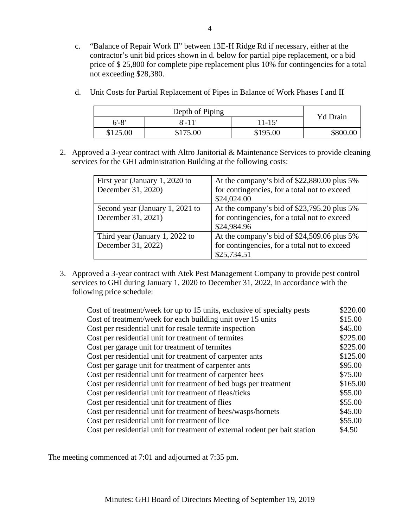c. "Balance of Repair Work II" between 13E-H Ridge Rd if necessary, either at the contractor's unit bid prices shown in d. below for partial pipe replacement, or a bid price of \$ 25,800 for complete pipe replacement plus 10% for contingencies for a total not exceeding \$28,380.

| Depth of Piping |           | Yd Drain   |  |
|-----------------|-----------|------------|--|
| $6' - 8'$       | $8'$ -11' | $11 - 15'$ |  |
| \$125.00        | \$175.00  | \$195.00   |  |

- d. Unit Costs for Partial Replacement of Pipes in Balance of Work Phases I and II
- 2. Approved a 3-year contract with Altro Janitorial & Maintenance Services to provide cleaning services for the GHI administration Building at the following costs:

| First year (January 1, 2020 to<br>December 31, 2020)  | At the company's bid of \$22,880.00 plus 5%<br>for contingencies, for a total not to exceed<br>\$24,024.00 |
|-------------------------------------------------------|------------------------------------------------------------------------------------------------------------|
| Second year (January 1, 2021 to<br>December 31, 2021) | At the company's bid of \$23,795.20 plus 5%<br>for contingencies, for a total not to exceed<br>\$24,984.96 |
| Third year (January 1, 2022 to<br>December 31, 2022)  | At the company's bid of \$24,509.06 plus 5%<br>for contingencies, for a total not to exceed<br>\$25,734.51 |

3. Approved a 3-year contract with Atek Pest Management Company to provide pest control services to GHI during January 1, 2020 to December 31, 2022, in accordance with the following price schedule:

| Cost of treatment/week for up to 15 units, exclusive of specialty pests     | \$220.00 |
|-----------------------------------------------------------------------------|----------|
| Cost of treatment/week for each building unit over 15 units                 | \$15.00  |
| Cost per residential unit for resale termite inspection                     | \$45.00  |
| Cost per residential unit for treatment of termites                         | \$225.00 |
| Cost per garage unit for treatment of termites                              | \$225.00 |
| Cost per residential unit for treatment of carpenter ants                   | \$125.00 |
| Cost per garage unit for treatment of carpenter ants                        | \$95.00  |
| Cost per residential unit for treatment of carpenter bees                   | \$75.00  |
| Cost per residential unit for treatment of bed bugs per treatment           | \$165.00 |
| Cost per residential unit for treatment of fleas/ticks                      | \$55.00  |
| Cost per residential unit for treatment of flies                            | \$55.00  |
| Cost per residential unit for treatment of bees/wasps/hornets               | \$45.00  |
| Cost per residential unit for treatment of lice                             | \$55.00  |
| Cost per residential unit for treatment of external rodent per bait station | \$4.50   |

The meeting commenced at 7:01 and adjourned at 7:35 pm.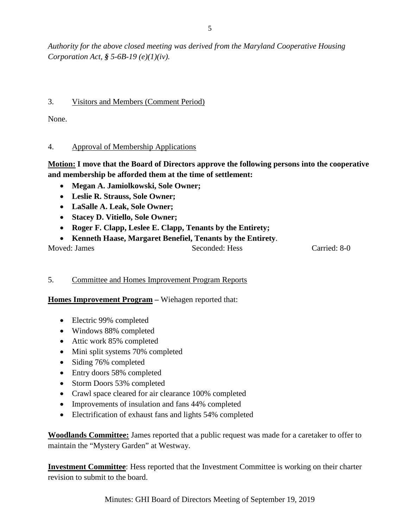*Authority for the above closed meeting was derived from the Maryland Cooperative Housing Corporation Act, § 5-6B-19 (e)(1)(iv).* 

## 3. Visitors and Members (Comment Period)

None.

## 4. Approval of Membership Applications

# **Motion: I move that the Board of Directors approve the following persons into the cooperative and membership be afforded them at the time of settlement:**

- **Megan A. Jamiolkowski, Sole Owner;**
- **Leslie R. Strauss, Sole Owner;**
- **LaSalle A. Leak, Sole Owner;**
- **Stacey D. Vitiello, Sole Owner;**
- **Roger F. Clapp, Leslee E. Clapp, Tenants by the Entirety;**
- **Kenneth Haase, Margaret Benefiel, Tenants by the Entirety**.

Moved: James Seconded: Hess Carried: 8-0

# 5. Committee and Homes Improvement Program Reports

## **Homes Improvement Program –** Wiehagen reported that:

- Electric 99% completed
- Windows 88% completed
- Attic work 85% completed
- Mini split systems 70% completed
- Siding 76% completed
- Entry doors 58% completed
- Storm Doors 53% completed
- Crawl space cleared for air clearance 100% completed
- Improvements of insulation and fans 44% completed
- Electrification of exhaust fans and lights 54% completed

**Woodlands Committee:** James reported that a public request was made for a caretaker to offer to maintain the "Mystery Garden" at Westway.

**Investment Committee**: Hess reported that the Investment Committee is working on their charter revision to submit to the board.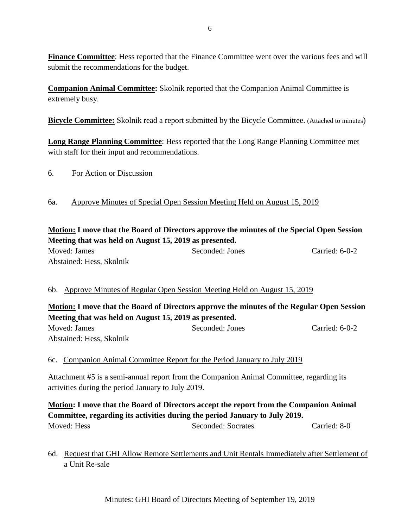**Finance Committee:** Hess reported that the Finance Committee went over the various fees and will submit the recommendations for the budget.

**Companion Animal Committee:** Skolnik reported that the Companion Animal Committee is extremely busy.

**Bicycle Committee:** Skolnik read a report submitted by the Bicycle Committee. (Attached to minutes)

**Long Range Planning Committee**: Hess reported that the Long Range Planning Committee met with staff for their input and recommendations.

6. For Action or Discussion

### 6a. Approve Minutes of Special Open Session Meeting Held on August 15, 2019

## **Motion: I move that the Board of Directors approve the minutes of the Special Open Session Meeting that was held on August 15, 2019 as presented.**

Moved: James Seconded: Jones Carried: 6-0-2 Abstained: Hess, Skolnik

## 6b. Approve Minutes of Regular Open Session Meeting Held on August 15, 2019

# **Motion: I move that the Board of Directors approve the minutes of the Regular Open Session Meeting that was held on August 15, 2019 as presented.**

Moved: James Seconded: Jones Carried: 6-0-2 Abstained: Hess, Skolnik

## 6c. Companion Animal Committee Report for the Period January to July 2019

Attachment #5 is a semi-annual report from the Companion Animal Committee, regarding its activities during the period January to July 2019.

**Motion: I move that the Board of Directors accept the report from the Companion Animal Committee, regarding its activities during the period January to July 2019.**

Moved: Hess Seconded: Socrates Carried: 8-0

# 6d. Request that GHI Allow Remote Settlements and Unit Rentals Immediately after Settlement of a Unit Re-sale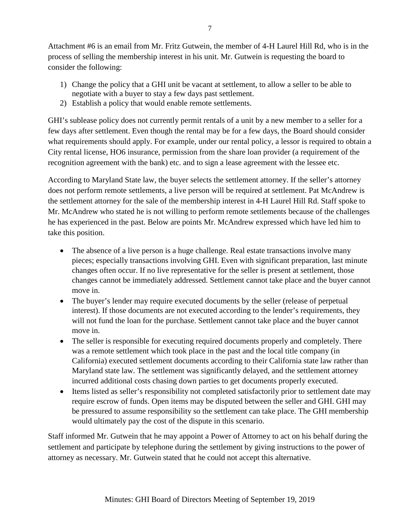Attachment #6 is an email from Mr. Fritz Gutwein, the member of 4-H Laurel Hill Rd, who is in the process of selling the membership interest in his unit. Mr. Gutwein is requesting the board to consider the following:

- 1) Change the policy that a GHI unit be vacant at settlement, to allow a seller to be able to negotiate with a buyer to stay a few days past settlement.
- 2) Establish a policy that would enable remote settlements.

GHI's sublease policy does not currently permit rentals of a unit by a new member to a seller for a few days after settlement. Even though the rental may be for a few days, the Board should consider what requirements should apply. For example, under our rental policy, a lessor is required to obtain a City rental license, HO6 insurance, permission from the share loan provider (a requirement of the recognition agreement with the bank) etc. and to sign a lease agreement with the lessee etc.

According to Maryland State law, the buyer selects the settlement attorney. If the seller's attorney does not perform remote settlements, a live person will be required at settlement. Pat McAndrew is the settlement attorney for the sale of the membership interest in 4-H Laurel Hill Rd. Staff spoke to Mr. McAndrew who stated he is not willing to perform remote settlements because of the challenges he has experienced in the past. Below are points Mr. McAndrew expressed which have led him to take this position.

- The absence of a live person is a huge challenge. Real estate transactions involve many pieces; especially transactions involving GHI. Even with significant preparation, last minute changes often occur. If no live representative for the seller is present at settlement, those changes cannot be immediately addressed. Settlement cannot take place and the buyer cannot move in.
- The buyer's lender may require executed documents by the seller (release of perpetual interest). If those documents are not executed according to the lender's requirements, they will not fund the loan for the purchase. Settlement cannot take place and the buyer cannot move in.
- The seller is responsible for executing required documents properly and completely. There was a remote settlement which took place in the past and the local title company (in California) executed settlement documents according to their California state law rather than Maryland state law. The settlement was significantly delayed, and the settlement attorney incurred additional costs chasing down parties to get documents properly executed.
- Items listed as seller's responsibility not completed satisfactorily prior to settlement date may require escrow of funds. Open items may be disputed between the seller and GHI. GHI may be pressured to assume responsibility so the settlement can take place. The GHI membership would ultimately pay the cost of the dispute in this scenario.

Staff informed Mr. Gutwein that he may appoint a Power of Attorney to act on his behalf during the settlement and participate by telephone during the settlement by giving instructions to the power of attorney as necessary. Mr. Gutwein stated that he could not accept this alternative.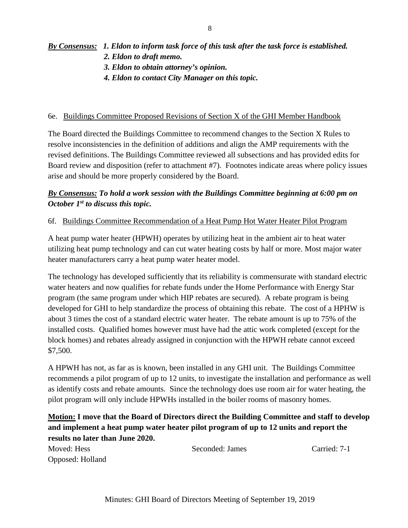# *By Consensus: 1. Eldon to inform task force of this task after the task force is established. 2. Eldon to draft memo. 3. Eldon to obtain attorney's opinion.*

 *4. Eldon to contact City Manager on this topic.*

### 6e. Buildings Committee Proposed Revisions of Section X of the GHI Member Handbook

The Board directed the Buildings Committee to recommend changes to the Section X Rules to resolve inconsistencies in the definition of additions and align the AMP requirements with the revised definitions. The Buildings Committee reviewed all subsections and has provided edits for Board review and disposition (refer to attachment #7). Footnotes indicate areas where policy issues arise and should be more properly considered by the Board.

# *By Consensus: To hold a work session with the Buildings Committee beginning at 6:00 pm on October 1st to discuss this topic.*

### 6f. Buildings Committee Recommendation of a Heat Pump Hot Water Heater Pilot Program

A heat pump water heater (HPWH) operates by utilizing heat in the ambient air to heat water utilizing heat pump technology and can cut water heating costs by half or more. Most major water heater manufacturers carry a heat pump water heater model.

The technology has developed sufficiently that its reliability is commensurate with standard electric water heaters and now qualifies for rebate funds under the Home Performance with Energy Star program (the same program under which HIP rebates are secured). A rebate program is being developed for GHI to help standardize the process of obtaining this rebate. The cost of a HPHW is about 3 times the cost of a standard electric water heater. The rebate amount is up to 75% of the installed costs. Qualified homes however must have had the attic work completed (except for the block homes) and rebates already assigned in conjunction with the HPWH rebate cannot exceed \$7,500.

A HPWH has not, as far as is known, been installed in any GHI unit. The Buildings Committee recommends a pilot program of up to 12 units, to investigate the installation and performance as well as identify costs and rebate amounts. Since the technology does use room air for water heating, the pilot program will only include HPWHs installed in the boiler rooms of masonry homes.

# **Motion: I move that the Board of Directors direct the Building Committee and staff to develop and implement a heat pump water heater pilot program of up to 12 units and report the results no later than June 2020.**

Moved: Hess Seconded: James Carried: 7-1 Opposed: Holland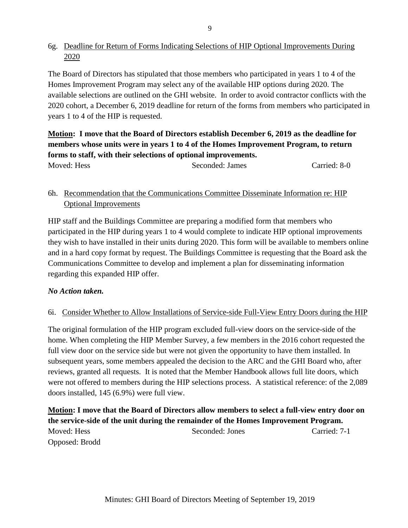# 6g. Deadline for Return of Forms Indicating Selections of HIP Optional Improvements During 2020

The Board of Directors has stipulated that those members who participated in years 1 to 4 of the Homes Improvement Program may select any of the available HIP options during 2020. The available selections are outlined on the GHI website. In order to avoid contractor conflicts with the 2020 cohort, a December 6, 2019 deadline for return of the forms from members who participated in years 1 to 4 of the HIP is requested.

# **Motion: I move that the Board of Directors establish December 6, 2019 as the deadline for members whose units were in years 1 to 4 of the Homes Improvement Program, to return forms to staff, with their selections of optional improvements.**

Moved: Hess Seconded: James Carried: 8-0

# 6h. Recommendation that the Communications Committee Disseminate Information re: HIP Optional Improvements

HIP staff and the Buildings Committee are preparing a modified form that members who participated in the HIP during years 1 to 4 would complete to indicate HIP optional improvements they wish to have installed in their units during 2020. This form will be available to members online and in a hard copy format by request. The Buildings Committee is requesting that the Board ask the Communications Committee to develop and implement a plan for disseminating information regarding this expanded HIP offer.

# *No Action taken.*

# 6i. Consider Whether to Allow Installations of Service-side Full-View Entry Doors during the HIP

The original formulation of the HIP program excluded full-view doors on the service-side of the home. When completing the HIP Member Survey, a few members in the 2016 cohort requested the full view door on the service side but were not given the opportunity to have them installed. In subsequent years, some members appealed the decision to the ARC and the GHI Board who, after reviews, granted all requests. It is noted that the Member Handbook allows full lite doors, which were not offered to members during the HIP selections process. A statistical reference: of the 2,089 doors installed, 145 (6.9%) were full view.

**Motion: I move that the Board of Directors allow members to select a full-view entry door on the service-side of the unit during the remainder of the Homes Improvement Program.** Moved: Hess Seconded: Jones Carried: 7-1 Opposed: Brodd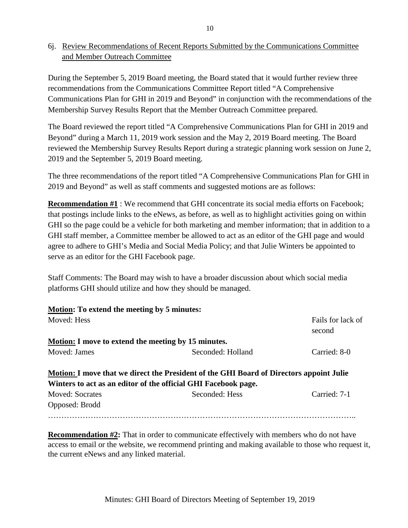# 6j. Review Recommendations of Recent Reports Submitted by the Communications Committee and Member Outreach Committee

During the September 5, 2019 Board meeting, the Board stated that it would further review three recommendations from the Communications Committee Report titled "A Comprehensive Communications Plan for GHI in 2019 and Beyond" in conjunction with the recommendations of the Membership Survey Results Report that the Member Outreach Committee prepared.

The Board reviewed the report titled "A Comprehensive Communications Plan for GHI in 2019 and Beyond" during a March 11, 2019 work session and the May 2, 2019 Board meeting. The Board reviewed the Membership Survey Results Report during a strategic planning work session on June 2, 2019 and the September 5, 2019 Board meeting.

The three recommendations of the report titled "A Comprehensive Communications Plan for GHI in 2019 and Beyond" as well as staff comments and suggested motions are as follows:

**Recommendation #1** : We recommend that GHI concentrate its social media efforts on Facebook; that postings include links to the eNews, as before, as well as to highlight activities going on within GHI so the page could be a vehicle for both marketing and member information; that in addition to a GHI staff member, a Committee member be allowed to act as an editor of the GHI page and would agree to adhere to GHI's Media and Social Media Policy; and that Julie Winters be appointed to serve as an editor for the GHI Facebook page.

Staff Comments: The Board may wish to have a broader discussion about which social media platforms GHI should utilize and how they should be managed.

| Motion: To extend the meeting by 5 minutes:                |                                                                                         |                             |
|------------------------------------------------------------|-----------------------------------------------------------------------------------------|-----------------------------|
| Moved: Hess                                                |                                                                                         | Fails for lack of<br>second |
| <b>Motion:</b> I move to extend the meeting by 15 minutes. |                                                                                         |                             |
| Moved: James                                               | Seconded: Holland                                                                       | Carried: 8-0                |
|                                                            | Motion: I move that we direct the President of the GHI Board of Directors appoint Julie |                             |
|                                                            | Winters to act as an editor of the official GHI Facebook page.                          |                             |
| <b>Moved: Socrates</b>                                     | Seconded: Hess                                                                          | Carried: 7-1                |
| Opposed: Brodd                                             |                                                                                         |                             |
|                                                            |                                                                                         |                             |

**Recommendation #2:** That in order to communicate effectively with members who do not have access to email or the website, we recommend printing and making available to those who request it, the current eNews and any linked material.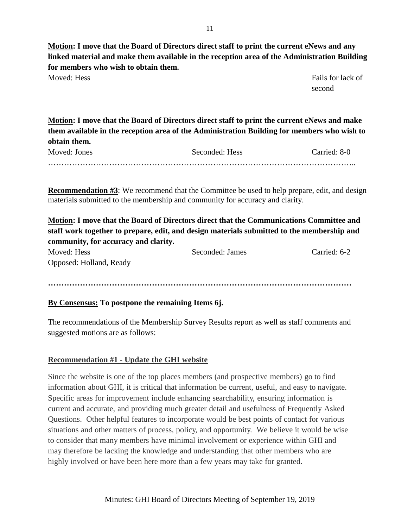**Motion: I move that the Board of Directors direct staff to print the current eNews and any linked material and make them available in the reception area of the Administration Building for members who wish to obtain them.** Moved: Hess Fails for lack of

second

**Motion: I move that the Board of Directors direct staff to print the current eNews and make them available in the reception area of the Administration Building for members who wish to obtain them.**

| Moved: Jones | Seconded: Hess | Carried: 8-0 |
|--------------|----------------|--------------|
|              |                |              |

**Recommendation #3**: We recommend that the Committee be used to help prepare, edit, and design materials submitted to the membership and community for accuracy and clarity.

**Motion: I move that the Board of Directors direct that the Communications Committee and staff work together to prepare, edit, and design materials submitted to the membership and community, for accuracy and clarity.**

| Moved: Hess             | Seconded: James | Carried: 6-2 |
|-------------------------|-----------------|--------------|
| Opposed: Holland, Ready |                 |              |

**……………………………………………………………………………………………………**

# **By Consensus: To postpone the remaining Items 6j.**

The recommendations of the Membership Survey Results report as well as staff comments and suggested motions are as follows:

# **Recommendation #1 - Update the GHI website**

Since the website is one of the top places members (and prospective members) go to find information about GHI, it is critical that information be current, useful, and easy to navigate. Specific areas for improvement include enhancing searchability, ensuring information is current and accurate, and providing much greater detail and usefulness of Frequently Asked Questions. Other helpful features to incorporate would be best points of contact for various situations and other matters of process, policy, and opportunity. We believe it would be wise to consider that many members have minimal involvement or experience within GHI and may therefore be lacking the knowledge and understanding that other members who are highly involved or have been here more than a few years may take for granted.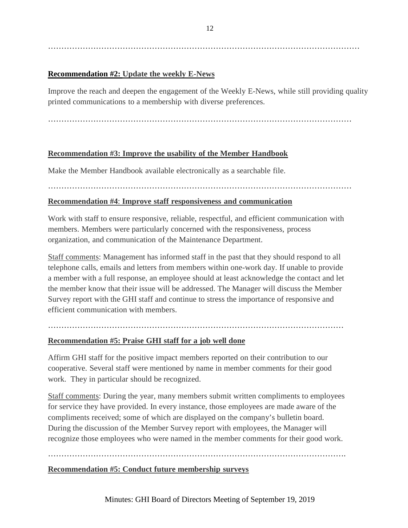………………………………………………………………………………………………………

### **Recommendation #2: Update the weekly E-News**

Improve the reach and deepen the engagement of the Weekly E-News, while still providing quality printed communications to a membership with diverse preferences.

……………………………………………………………………………………………………

### **Recommendation #3: Improve the usability of the Member Handbook**

Make the Member Handbook available electronically as a searchable file.

#### ……………………………………………………………………………………………………

### **Recommendation #4**: **Improve staff responsiveness and communication**

Work with staff to ensure responsive, reliable, respectful, and efficient communication with members. Members were particularly concerned with the responsiveness, process organization, and communication of the Maintenance Department.

Staff comments: Management has informed staff in the past that they should respond to all telephone calls, emails and letters from members within one-work day. If unable to provide a member with a full response, an employee should at least acknowledge the contact and let the member know that their issue will be addressed. The Manager will discuss the Member Survey report with the GHI staff and continue to stress the importance of responsive and efficient communication with members.

# …………………………………………………………………………………………………

### **Recommendation #5: Praise GHI staff for a job well done**

Affirm GHI staff for the positive impact members reported on their contribution to our cooperative. Several staff were mentioned by name in member comments for their good work. They in particular should be recognized.

Staff comments: During the year, many members submit written compliments to employees for service they have provided. In every instance, those employees are made aware of the compliments received; some of which are displayed on the company's bulletin board. During the discussion of the Member Survey report with employees, the Manager will recognize those employees who were named in the member comments for their good work.

#### ………………………………………………………………………………………………….

#### **Recommendation #5: Conduct future membership surveys**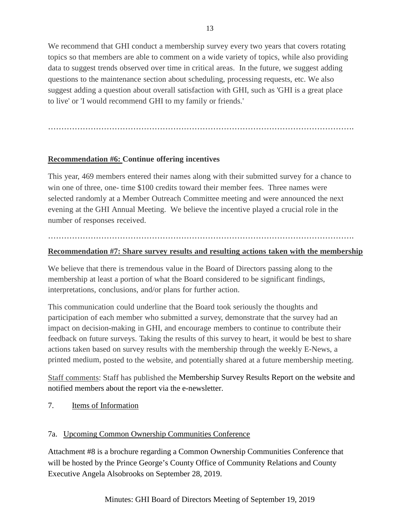We recommend that GHI conduct a membership survey every two years that covers rotating topics so that members are able to comment on a wide variety of topics, while also providing data to suggest trends observed over time in critical areas. In the future, we suggest adding questions to the maintenance section about scheduling, processing requests, etc. We also suggest adding a question about overall satisfaction with GHI, such as 'GHI is a great place to live' or 'I would recommend GHI to my family or friends.'

## **Recommendation #6: Continue offering incentives**

This year, 469 members entered their names along with their submitted survey for a chance to win one of three, one- time \$100 credits toward their member fees. Three names were selected randomly at a Member Outreach Committee meeting and were announced the next evening at the GHI Annual Meeting. We believe the incentive played a crucial role in the number of responses received.

## …………………………………………………………………………………………………….

## **Recommendation #7: Share survey results and resulting actions taken with the membership**

We believe that there is tremendous value in the Board of Directors passing along to the membership at least a portion of what the Board considered to be significant findings, interpretations, conclusions, and/or plans for further action.

This communication could underline that the Board took seriously the thoughts and participation of each member who submitted a survey, demonstrate that the survey had an impact on decision-making in GHI, and encourage members to continue to contribute their feedback on future surveys. Taking the results of this survey to heart, it would be best to share actions taken based on survey results with the membership through the weekly E-News, a printed medium, posted to the website, and potentially shared at a future membership meeting.

Staff comments: Staff has published the Membership Survey Results Report on the website and notified members about the report via the e-newsletter.

7. Items of Information

## 7a. Upcoming Common Ownership Communities Conference

Attachment #8 is a brochure regarding a Common Ownership Communities Conference that will be hosted by the Prince George's County Office of Community Relations and County Executive Angela Alsobrooks on September 28, 2019.